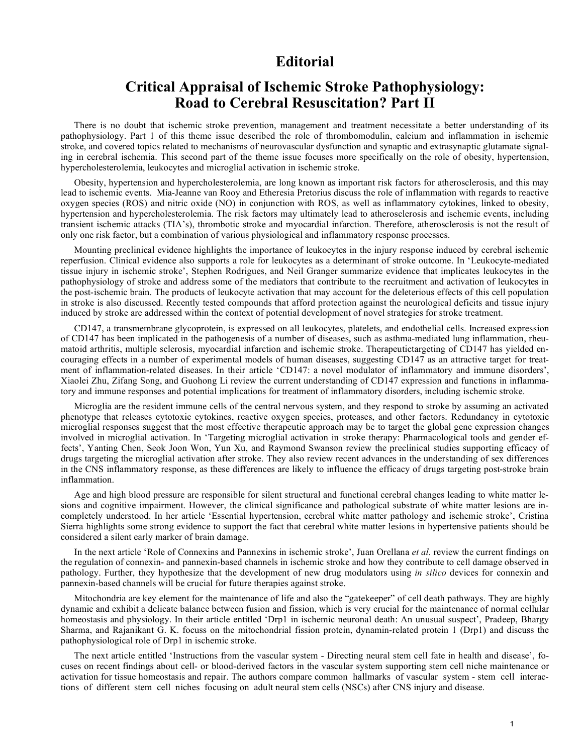## **Editorial**

## **Critical Appraisal of Ischemic Stroke Pathophysiology: Road to Cerebral Resuscitation? Part II**

There is no doubt that ischemic stroke prevention, management and treatment necessitate a better understanding of its pathophysiology. Part 1 of this theme issue described the role of thrombomodulin, calcium and inflammation in ischemic stroke, and covered topics related to mechanisms of neurovascular dysfunction and synaptic and extrasynaptic glutamate signaling in cerebral ischemia. This second part of the theme issue focuses more specifically on the role of obesity, hypertension, hypercholesterolemia, leukocytes and microglial activation in ischemic stroke.

Obesity, hypertension and hypercholesterolemia, are long known as important risk factors for atherosclerosis, and this may lead to ischemic events. Mia-Jeanne van Rooy and Etheresia Pretorius discuss the role of inflammation with regards to reactive oxygen species (ROS) and nitric oxide (NO) in conjunction with ROS, as well as inflammatory cytokines, linked to obesity, hypertension and hypercholesterolemia. The risk factors may ultimately lead to atherosclerosis and ischemic events, including transient ischemic attacks (TIA's), thrombotic stroke and myocardial infarction. Therefore, atherosclerosis is not the result of only one risk factor, but a combination of various physiological and inflammatory response processes.

Mounting preclinical evidence highlights the importance of leukocytes in the injury response induced by cerebral ischemic reperfusion. Clinical evidence also supports a role for leukocytes as a determinant of stroke outcome. In 'Leukocyte-mediated tissue injury in ischemic stroke', Stephen Rodrigues, and Neil Granger summarize evidence that implicates leukocytes in the pathophysiology of stroke and address some of the mediators that contribute to the recruitment and activation of leukocytes in the post-ischemic brain. The products of leukocyte activation that may account for the deleterious effects of this cell population in stroke is also discussed. Recently tested compounds that afford protection against the neurological deficits and tissue injury induced by stroke are addressed within the context of potential development of novel strategies for stroke treatment.

CD147, a transmembrane glycoprotein, is expressed on all leukocytes, platelets, and endothelial cells. Increased expression of CD147 has been implicated in the pathogenesis of a number of diseases, such as asthma-mediated lung inflammation, rheumatoid arthritis, multiple sclerosis, myocardial infarction and ischemic stroke. Therapeutictargeting of CD147 has yielded encouraging effects in a number of experimental models of human diseases, suggesting CD147 as an attractive target for treatment of inflammation-related diseases. In their article 'CD147: a novel modulator of inflammatory and immune disorders', Xiaolei Zhu, Zifang Song, and Guohong Li review the current understanding of CD147 expression and functions in inflammatory and immune responses and potential implications for treatment of inflammatory disorders, including ischemic stroke.

Microglia are the resident immune cells of the central nervous system, and they respond to stroke by assuming an activated phenotype that releases cytotoxic cytokines, reactive oxygen species, proteases, and other factors. Redundancy in cytotoxic microglial responses suggest that the most effective therapeutic approach may be to target the global gene expression changes involved in microglial activation. In 'Targeting microglial activation in stroke therapy: Pharmacological tools and gender effects', Yanting Chen, Seok Joon Won, Yun Xu, and Raymond Swanson review the preclinical studies supporting efficacy of drugs targeting the microglial activation after stroke. They also review recent advances in the understanding of sex differences in the CNS inflammatory response, as these differences are likely to influence the efficacy of drugs targeting post-stroke brain inflammation.

Age and high blood pressure are responsible for silent structural and functional cerebral changes leading to white matter lesions and cognitive impairment. However, the clinical significance and pathological substrate of white matter lesions are incompletely understood. In her article 'Essential hypertension, cerebral white matter pathology and ischemic stroke', Cristina Sierra highlights some strong evidence to support the fact that cerebral white matter lesions in hypertensive patients should be considered a silent early marker of brain damage.

In the next article 'Role of Connexins and Pannexins in ischemic stroke', Juan Orellana *et al.* review the current findings on the regulation of connexin- and pannexin-based channels in ischemic stroke and how they contribute to cell damage observed in pathology. Further, they hypothesize that the development of new drug modulators using *in silico* devices for connexin and pannexin-based channels will be crucial for future therapies against stroke.

Mitochondria are key element for the maintenance of life and also the "gatekeeper" of cell death pathways. They are highly dynamic and exhibit a delicate balance between fusion and fission, which is very crucial for the maintenance of normal cellular homeostasis and physiology. In their article entitled 'Drp1 in ischemic neuronal death: An unusual suspect', Pradeep, Bhargy Sharma, and Rajanikant G. K. focuss on the mitochondrial fission protein, dynamin-related protein 1 (Drp1) and discuss the pathophysiological role of Drp1 in ischemic stroke.

The next article entitled 'Instructions from the vascular system - Directing neural stem cell fate in health and disease', focuses on recent findings about cell- or blood-derived factors in the vascular system supporting stem cell niche maintenance or activation for tissue homeostasis and repair. The authors compare common hallmarks of vascular system - stem cell interactions of different stem cell niches focusing on adult neural stem cells (NSCs) after CNS injury and disease.